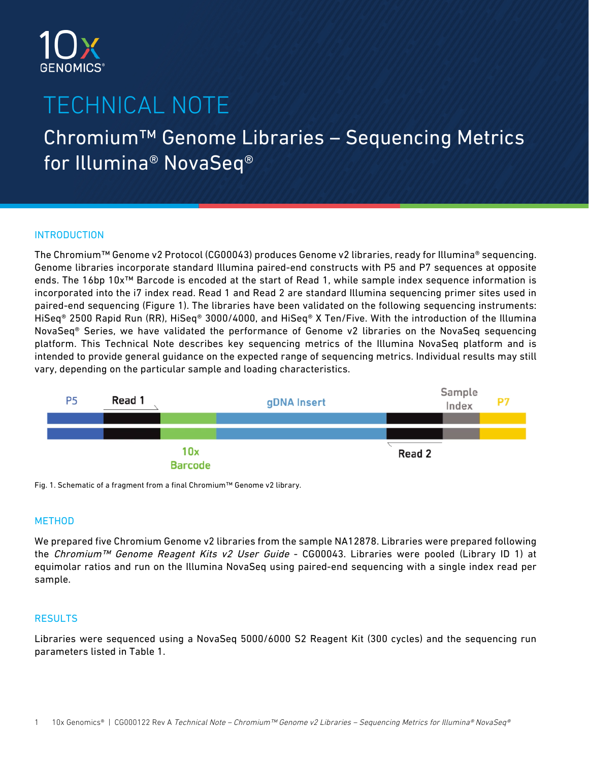

# TECHNICAL NOTE

## Chromium™ Genome Libraries – Sequencing Metrics for Illumina® NovaSeq®

### INTRODUCTION

The Chromium™ Genome v2 Protocol (CG00043) produces Genome v2 libraries, ready for Illumina® sequencing. Genome libraries incorporate standard Illumina paired-end constructs with P5 and P7 sequences at opposite ends. The 16bp 10x™ Barcode is encoded at the start of Read 1, while sample index sequence information is incorporated into the i7 index read. Read 1 and Read 2 are standard Illumina sequencing primer sites used in paired-end sequencing (Figure 1). The libraries have been validated on the following sequencing instruments: HiSeq® 2500 Rapid Run (RR), HiSeq® 3000/4000, and HiSeq® X Ten/Five. With the introduction of the Illumina NovaSeq® Series, we have validated the performance of Genome v2 libraries on the NovaSeq sequencing platform. This Technical Note describes key sequencing metrics of the Illumina NovaSeq platform and is intended to provide general guidance on the expected range of sequencing metrics. Individual results may still vary, depending on the particular sample and loading characteristics.



Fig. 1. Schematic of a fragment from a final Chromium™ Genome v2 library.

#### **METHOD**

We prepared five Chromium Genome v2 libraries from the sample NA12878. Libraries were prepared following the Chromium™ Genome Reagent Kits v2 User Guide - CG00043. Libraries were pooled (Library ID 1) at equimolar ratios and run on the Illumina NovaSeq using paired-end sequencing with a single index read per sample.

### **RESULTS**

Libraries were sequenced using a NovaSeq 5000/6000 S2 Reagent Kit (300 cycles) and the sequencing run parameters listed in Table 1.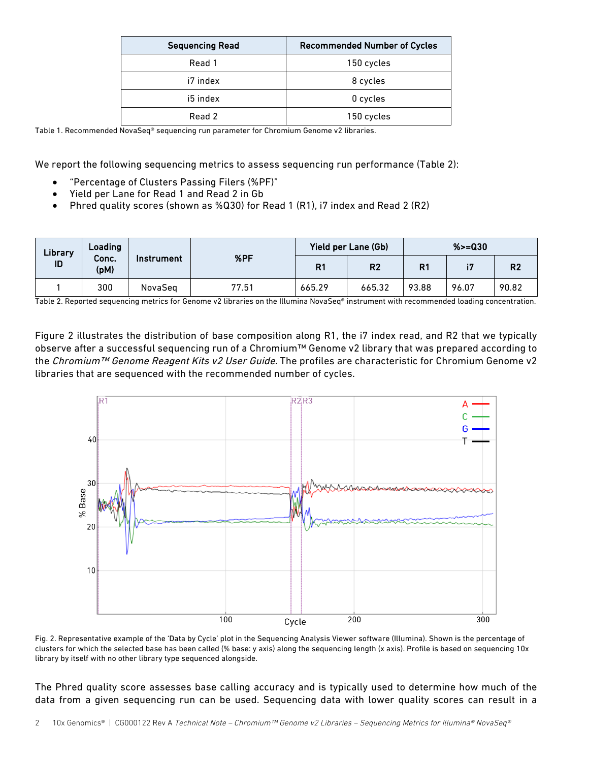| <b>Sequencing Read</b> | <b>Recommended Number of Cycles</b> |  |  |  |
|------------------------|-------------------------------------|--|--|--|
| Read 1                 | 150 cycles                          |  |  |  |
| i7 index               | 8 cycles                            |  |  |  |
| i5 index               | 0 cycles                            |  |  |  |
| Read 2                 | 150 cycles                          |  |  |  |

Table 1. Recommended NovaSeq® sequencing run parameter for Chromium Genome v2 libraries.

We report the following sequencing metrics to assess sequencing run performance (Table 2):

- "Percentage of Clusters Passing Filers (%PF)"
- Yield per Lane for Read 1 and Read 2 in Gb
- Phred quality scores (shown as %Q30) for Read 1 (R1), i7 index and Read 2 (R2)

| Library<br>ID | Loading<br>Conc.<br>(pM) | Instrument | %PF   | Yield per Lane (Gb) |                | $%>=030$       |       |                |
|---------------|--------------------------|------------|-------|---------------------|----------------|----------------|-------|----------------|
|               |                          |            |       | R1                  | R <sub>2</sub> | R <sub>1</sub> | 97    | R <sub>2</sub> |
|               | 300                      | NovaSeg    | 77.51 | 665.29              | 665.32         | 93.88          | 96.07 | 90.82          |

Table 2. Reported sequencing metrics for Genome v2 libraries on the Illumina NovaSeq® instrument with recommended loading concentration.

Figure 2 illustrates the distribution of base composition along R1, the i7 index read, and R2 that we typically observe after a successful sequencing run of a Chromium™ Genome v2 library that was prepared according to the Chromium™ Genome Reagent Kits v2 User Guide. The profiles are characteristic for Chromium Genome v2 libraries that are sequenced with the recommended number of cycles.



Fig. 2. Representative example of the 'Data by Cycle' plot in the Sequencing Analysis Viewer software (Illumina). Shown is the percentage of clusters for which the selected base has been called (% base: y axis) along the sequencing length (x axis). Profile is based on sequencing 10x library by itself with no other library type sequenced alongside.

The Phred quality score assesses base calling accuracy and is typically used to determine how much of the data from a given sequencing run can be used. Sequencing data with lower quality scores can result in a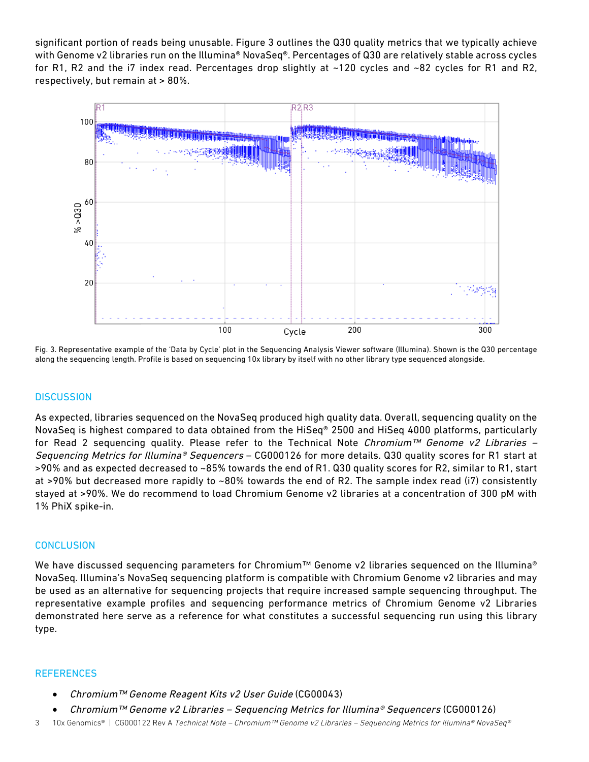significant portion of reads being unusable. Figure 3 outlines the Q30 quality metrics that we typically achieve with Genome v2 libraries run on the Illumina® NovaSeq®. Percentages of Q30 are relatively stable across cycles for R1, R2 and the i7 index read. Percentages drop slightly at  $\sim$ 120 cycles and  $\sim$ 82 cycles for R1 and R2, respectively, but remain at > 80%.



Fig. 3. Representative example of the 'Data by Cycle' plot in the Sequencing Analysis Viewer software (Illumina). Shown is the Q30 percentage along the sequencing length. Profile is based on sequencing 10x library by itself with no other library type sequenced alongside.

#### **DISCUSSION**

As expected, libraries sequenced on the NovaSeq produced high quality data. Overall, sequencing quality on the NovaSeq is highest compared to data obtained from the HiSeq® 2500 and HiSeq 4000 platforms, particularly for Read 2 sequencing quality. Please refer to the Technical Note Chromium<sup>TM</sup> Genome v2 Libraries – Sequencing Metrics for Illumina® Sequencers – CG000126 for more details. Q30 quality scores for R1 start at >90% and as expected decreased to ~85% towards the end of R1. Q30 quality scores for R2, similar to R1, start at >90% but decreased more rapidly to ~80% towards the end of R2. The sample index read (i7) consistently stayed at >90%. We do recommend to load Chromium Genome v2 libraries at a concentration of 300 pM with 1% PhiX spike-in.

#### **CONCLUSION**

We have discussed sequencing parameters for Chromium™ Genome v2 libraries sequenced on the Illumina® NovaSeq. Illumina's NovaSeq sequencing platform is compatible with Chromium Genome v2 libraries and may be used as an alternative for sequencing projects that require increased sample sequencing throughput. The representative example profiles and sequencing performance metrics of Chromium Genome v2 Libraries demonstrated here serve as a reference for what constitutes a successful sequencing run using this library type.

#### **REFERENCES**

- Chromium™ Genome Reagent Kits v2 User Guide (CG00043)
- Chromium™ Genome v2 Libraries Sequencing Metrics for Illumina® Sequencers (CG000126)
- 3 10x Genomics® | CG000122 Rev A Technical Note Chromium™ Genome v2 Libraries Sequencing Metrics for Illumina® NovaSeq®